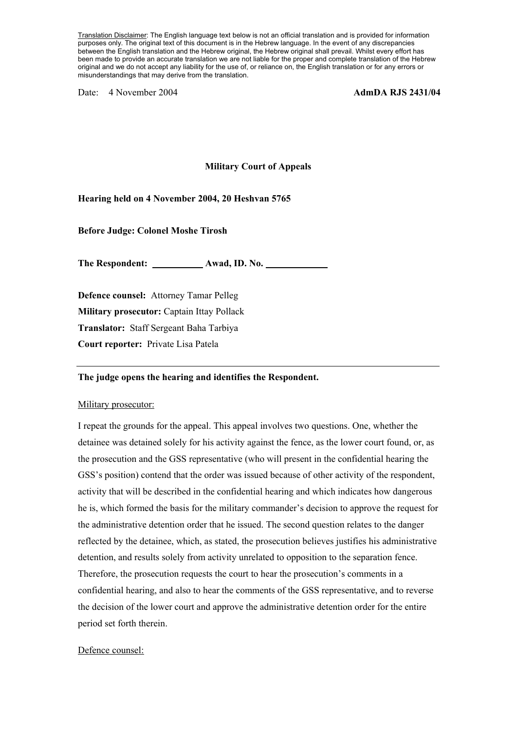Translation Disclaimer: The English language text below is not an official translation and is provided for information purposes only. The original text of this document is in the Hebrew language. In the event of any discrepancies between the English translation and the Hebrew original, the Hebrew original shall prevail. Whilst every effort has been made to provide an accurate translation we are not liable for the proper and complete translation of the Hebrew original and we do not accept any liability for the use of, or reliance on, the English translation or for any errors or misunderstandings that may derive from the translation.

Date: 4 November 2004 **AdmDA RJS 2431/04** 

## **Military Court of Appeals**

### **Hearing held on 4 November 2004, 20 Heshvan 5765**

**Before Judge: Colonel Moshe Tirosh** 

**The Respondent: Awad, ID. No.** 

**Defence counsel:** Attorney Tamar Pelleg **Military prosecutor:** Captain Ittay Pollack **Translator:** Staff Sergeant Baha Tarbiya **Court reporter:** Private Lisa Patela

#### **The judge opens the hearing and identifies the Respondent.**

#### Military prosecutor:

I repeat the grounds for the appeal. This appeal involves two questions. One, whether the detainee was detained solely for his activity against the fence, as the lower court found, or, as the prosecution and the GSS representative (who will present in the confidential hearing the GSS's position) contend that the order was issued because of other activity of the respondent, activity that will be described in the confidential hearing and which indicates how dangerous he is, which formed the basis for the military commander's decision to approve the request for the administrative detention order that he issued. The second question relates to the danger reflected by the detainee, which, as stated, the prosecution believes justifies his administrative detention, and results solely from activity unrelated to opposition to the separation fence. Therefore, the prosecution requests the court to hear the prosecution's comments in a confidential hearing, and also to hear the comments of the GSS representative, and to reverse the decision of the lower court and approve the administrative detention order for the entire period set forth therein.

#### Defence counsel: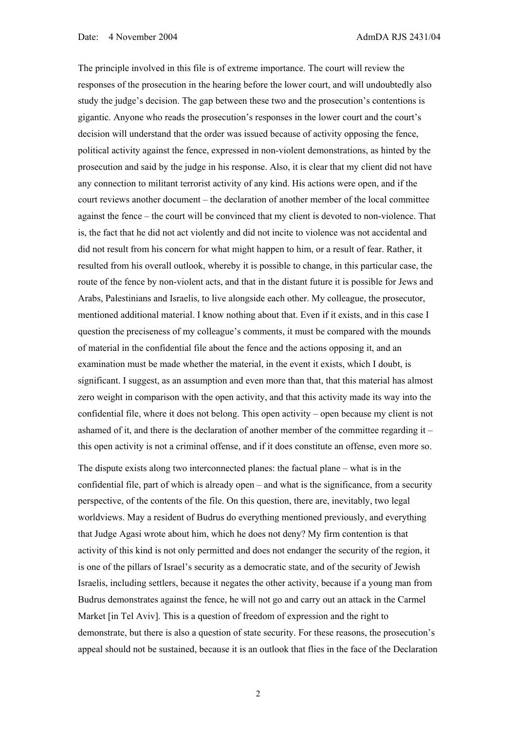The principle involved in this file is of extreme importance. The court will review the responses of the prosecution in the hearing before the lower court, and will undoubtedly also study the judge's decision. The gap between these two and the prosecution's contentions is gigantic. Anyone who reads the prosecution's responses in the lower court and the court's decision will understand that the order was issued because of activity opposing the fence, political activity against the fence, expressed in non-violent demonstrations, as hinted by the prosecution and said by the judge in his response. Also, it is clear that my client did not have any connection to militant terrorist activity of any kind. His actions were open, and if the court reviews another document – the declaration of another member of the local committee against the fence – the court will be convinced that my client is devoted to non-violence. That is, the fact that he did not act violently and did not incite to violence was not accidental and did not result from his concern for what might happen to him, or a result of fear. Rather, it resulted from his overall outlook, whereby it is possible to change, in this particular case, the route of the fence by non-violent acts, and that in the distant future it is possible for Jews and Arabs, Palestinians and Israelis, to live alongside each other. My colleague, the prosecutor, mentioned additional material. I know nothing about that. Even if it exists, and in this case I question the preciseness of my colleague's comments, it must be compared with the mounds of material in the confidential file about the fence and the actions opposing it, and an examination must be made whether the material, in the event it exists, which I doubt, is significant. I suggest, as an assumption and even more than that, that this material has almost zero weight in comparison with the open activity, and that this activity made its way into the confidential file, where it does not belong. This open activity – open because my client is not ashamed of it, and there is the declaration of another member of the committee regarding it – this open activity is not a criminal offense, and if it does constitute an offense, even more so.

The dispute exists along two interconnected planes: the factual plane – what is in the confidential file, part of which is already open – and what is the significance, from a security perspective, of the contents of the file. On this question, there are, inevitably, two legal worldviews. May a resident of Budrus do everything mentioned previously, and everything that Judge Agasi wrote about him, which he does not deny? My firm contention is that activity of this kind is not only permitted and does not endanger the security of the region, it is one of the pillars of Israel's security as a democratic state, and of the security of Jewish Israelis, including settlers, because it negates the other activity, because if a young man from Budrus demonstrates against the fence, he will not go and carry out an attack in the Carmel Market [in Tel Aviv]. This is a question of freedom of expression and the right to demonstrate, but there is also a question of state security. For these reasons, the prosecution's appeal should not be sustained, because it is an outlook that flies in the face of the Declaration

2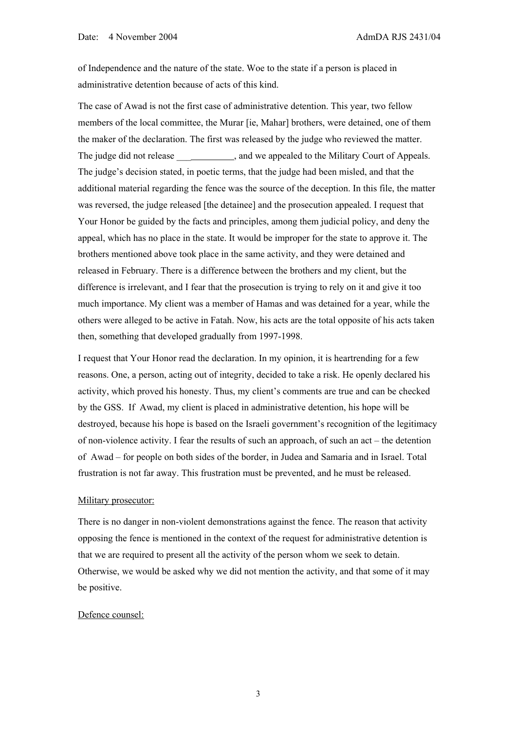of Independence and the nature of the state. Woe to the state if a person is placed in administrative detention because of acts of this kind.

The case of Awad is not the first case of administrative detention. This year, two fellow members of the local committee, the Murar [ie, Mahar] brothers, were detained, one of them the maker of the declaration. The first was released by the judge who reviewed the matter. The judge did not release  $\qquad \qquad$ , and we appealed to the Military Court of Appeals. The judge's decision stated, in poetic terms, that the judge had been misled, and that the additional material regarding the fence was the source of the deception. In this file, the matter was reversed, the judge released [the detainee] and the prosecution appealed. I request that Your Honor be guided by the facts and principles, among them judicial policy, and deny the appeal, which has no place in the state. It would be improper for the state to approve it. The brothers mentioned above took place in the same activity, and they were detained and released in February. There is a difference between the brothers and my client, but the difference is irrelevant, and I fear that the prosecution is trying to rely on it and give it too much importance. My client was a member of Hamas and was detained for a year, while the others were alleged to be active in Fatah. Now, his acts are the total opposite of his acts taken then, something that developed gradually from 1997-1998.

I request that Your Honor read the declaration. In my opinion, it is heartrending for a few reasons. One, a person, acting out of integrity, decided to take a risk. He openly declared his activity, which proved his honesty. Thus, my client's comments are true and can be checked by the GSS. If Awad, my client is placed in administrative detention, his hope will be destroyed, because his hope is based on the Israeli government's recognition of the legitimacy of non-violence activity. I fear the results of such an approach, of such an act – the detention of Awad – for people on both sides of the border, in Judea and Samaria and in Israel. Total frustration is not far away. This frustration must be prevented, and he must be released.

## Military prosecutor:

There is no danger in non-violent demonstrations against the fence. The reason that activity opposing the fence is mentioned in the context of the request for administrative detention is that we are required to present all the activity of the person whom we seek to detain. Otherwise, we would be asked why we did not mention the activity, and that some of it may be positive.

## Defence counsel:

3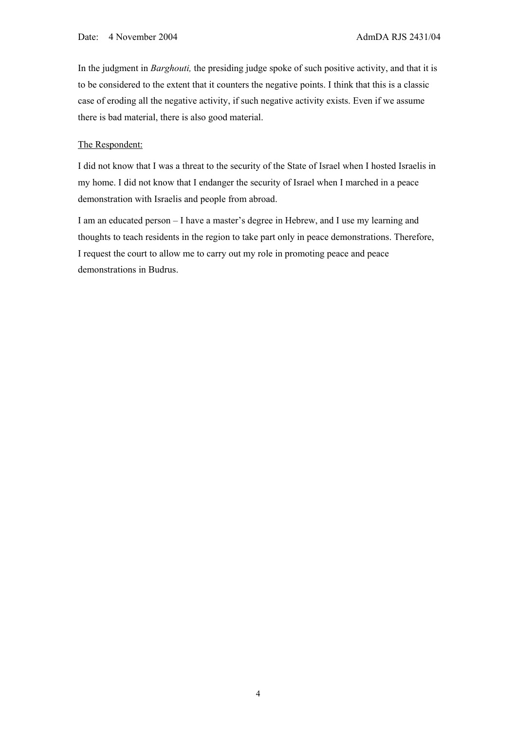In the judgment in *Barghouti,* the presiding judge spoke of such positive activity, and that it is to be considered to the extent that it counters the negative points. I think that this is a classic case of eroding all the negative activity, if such negative activity exists. Even if we assume there is bad material, there is also good material.

## The Respondent:

I did not know that I was a threat to the security of the State of Israel when I hosted Israelis in my home. I did not know that I endanger the security of Israel when I marched in a peace demonstration with Israelis and people from abroad.

I am an educated person – I have a master's degree in Hebrew, and I use my learning and thoughts to teach residents in the region to take part only in peace demonstrations. Therefore, I request the court to allow me to carry out my role in promoting peace and peace demonstrations in Budrus.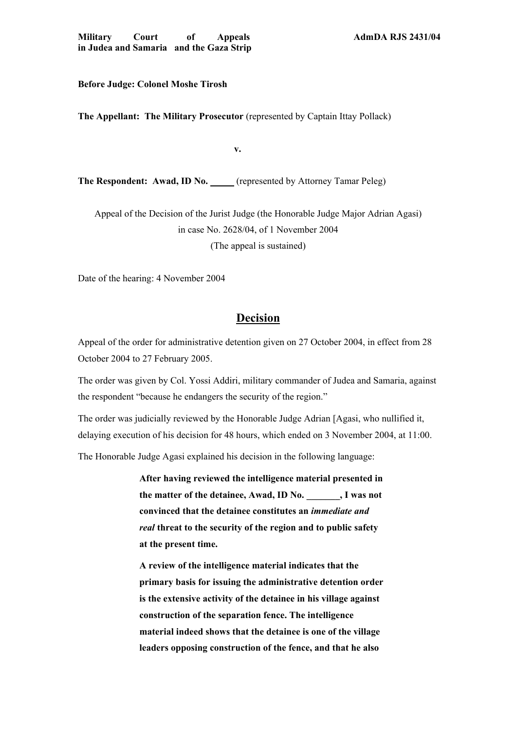**Before Judge: Colonel Moshe Tirosh** 

**The Appellant: The Military Prosecutor** (represented by Captain Ittay Pollack)

**v.** 

**The Respondent: Awad, ID No.** (represented by Attorney Tamar Peleg)

Appeal of the Decision of the Jurist Judge (the Honorable Judge Major Adrian Agasi) in case No. 2628/04, of 1 November 2004 (The appeal is sustained)

Date of the hearing: 4 November 2004

# **Decision**

Appeal of the order for administrative detention given on 27 October 2004, in effect from 28 October 2004 to 27 February 2005.

The order was given by Col. Yossi Addiri, military commander of Judea and Samaria, against the respondent "because he endangers the security of the region."

The order was judicially reviewed by the Honorable Judge Adrian [Agasi, who nullified it, delaying execution of his decision for 48 hours, which ended on 3 November 2004, at 11:00.

The Honorable Judge Agasi explained his decision in the following language:

**After having reviewed the intelligence material presented in the matter of the detainee, Awad, ID No. \_\_\_\_\_\_\_, I was not convinced that the detainee constitutes an** *immediate and real* **threat to the security of the region and to public safety at the present time.** 

**A review of the intelligence material indicates that the primary basis for issuing the administrative detention order is the extensive activity of the detainee in his village against construction of the separation fence. The intelligence material indeed shows that the detainee is one of the village leaders opposing construction of the fence, and that he also**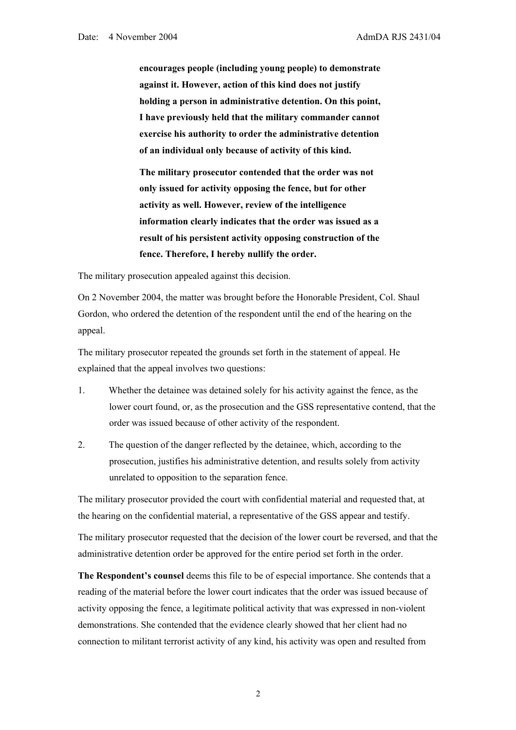**encourages people (including young people) to demonstrate against it. However, action of this kind does not justify holding a person in administrative detention. On this point, I have previously held that the military commander cannot exercise his authority to order the administrative detention of an individual only because of activity of this kind.** 

**The military prosecutor contended that the order was not only issued for activity opposing the fence, but for other activity as well. However, review of the intelligence information clearly indicates that the order was issued as a result of his persistent activity opposing construction of the fence. Therefore, I hereby nullify the order.** 

The military prosecution appealed against this decision.

On 2 November 2004, the matter was brought before the Honorable President, Col. Shaul Gordon, who ordered the detention of the respondent until the end of the hearing on the appeal.

The military prosecutor repeated the grounds set forth in the statement of appeal. He explained that the appeal involves two questions:

- 1. Whether the detainee was detained solely for his activity against the fence, as the lower court found, or, as the prosecution and the GSS representative contend, that the order was issued because of other activity of the respondent.
- 2. The question of the danger reflected by the detainee, which, according to the prosecution, justifies his administrative detention, and results solely from activity unrelated to opposition to the separation fence.

The military prosecutor provided the court with confidential material and requested that, at the hearing on the confidential material, a representative of the GSS appear and testify.

The military prosecutor requested that the decision of the lower court be reversed, and that the administrative detention order be approved for the entire period set forth in the order.

**The Respondent's counsel** deems this file to be of especial importance. She contends that a reading of the material before the lower court indicates that the order was issued because of activity opposing the fence, a legitimate political activity that was expressed in non-violent demonstrations. She contended that the evidence clearly showed that her client had no connection to militant terrorist activity of any kind, his activity was open and resulted from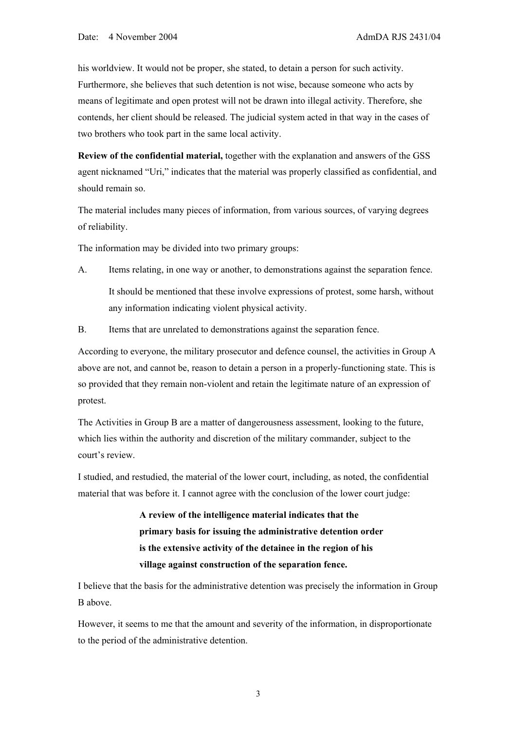his worldview. It would not be proper, she stated, to detain a person for such activity. Furthermore, she believes that such detention is not wise, because someone who acts by means of legitimate and open protest will not be drawn into illegal activity. Therefore, she contends, her client should be released. The judicial system acted in that way in the cases of two brothers who took part in the same local activity.

**Review of the confidential material,** together with the explanation and answers of the GSS agent nicknamed "Uri," indicates that the material was properly classified as confidential, and should remain so.

The material includes many pieces of information, from various sources, of varying degrees of reliability.

The information may be divided into two primary groups:

- A. Items relating, in one way or another, to demonstrations against the separation fence. It should be mentioned that these involve expressions of protest, some harsh, without any information indicating violent physical activity.
- B. Items that are unrelated to demonstrations against the separation fence.

According to everyone, the military prosecutor and defence counsel, the activities in Group A above are not, and cannot be, reason to detain a person in a properly-functioning state. This is so provided that they remain non-violent and retain the legitimate nature of an expression of protest.

The Activities in Group B are a matter of dangerousness assessment, looking to the future, which lies within the authority and discretion of the military commander, subject to the court's review.

I studied, and restudied, the material of the lower court, including, as noted, the confidential material that was before it. I cannot agree with the conclusion of the lower court judge:

> **A review of the intelligence material indicates that the primary basis for issuing the administrative detention order is the extensive activity of the detainee in the region of his village against construction of the separation fence.**

I believe that the basis for the administrative detention was precisely the information in Group B above.

However, it seems to me that the amount and severity of the information, in disproportionate to the period of the administrative detention.